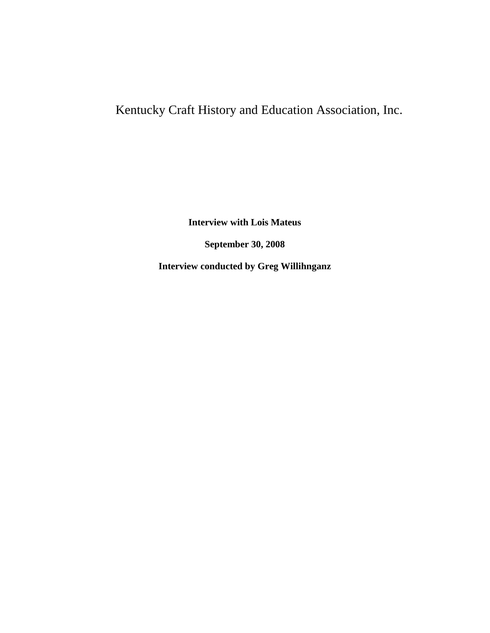## Kentucky Craft History and Education Association, Inc.

**Interview with Lois Mateus**

**September 30, 2008**

**Interview conducted by Greg Willihnganz**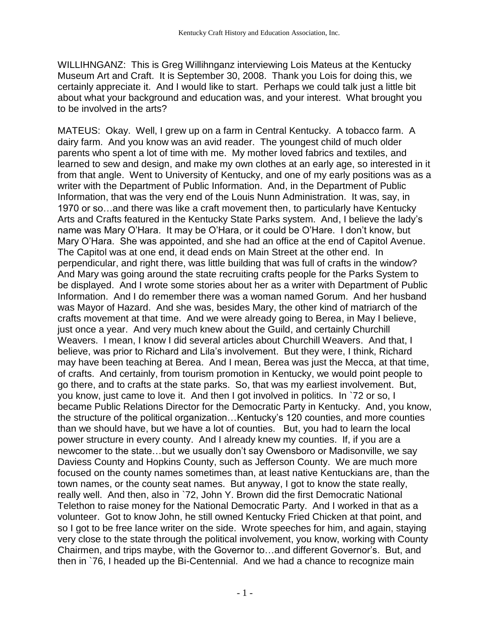WILLIHNGANZ: This is Greg Willihnganz interviewing Lois Mateus at the Kentucky Museum Art and Craft. It is September 30, 2008. Thank you Lois for doing this, we certainly appreciate it. And I would like to start. Perhaps we could talk just a little bit about what your background and education was, and your interest. What brought you to be involved in the arts?

MATEUS: Okay. Well, I grew up on a farm in Central Kentucky. A tobacco farm. A dairy farm. And you know was an avid reader. The youngest child of much older parents who spent a lot of time with me. My mother loved fabrics and textiles, and learned to sew and design, and make my own clothes at an early age, so interested in it from that angle. Went to University of Kentucky, and one of my early positions was as a writer with the Department of Public Information. And, in the Department of Public Information, that was the very end of the Louis Nunn Administration. It was, say, in 1970 or so…and there was like a craft movement then, to particularly have Kentucky Arts and Crafts featured in the Kentucky State Parks system. And, I believe the lady's name was Mary O'Hara. It may be O'Hara, or it could be O'Hare. I don't know, but Mary O'Hara. She was appointed, and she had an office at the end of Capitol Avenue. The Capitol was at one end, it dead ends on Main Street at the other end. In perpendicular, and right there, was little building that was full of crafts in the window? And Mary was going around the state recruiting crafts people for the Parks System to be displayed. And I wrote some stories about her as a writer with Department of Public Information. And I do remember there was a woman named Gorum. And her husband was Mayor of Hazard. And she was, besides Mary, the other kind of matriarch of the crafts movement at that time. And we were already going to Berea, in May I believe, just once a year. And very much knew about the Guild, and certainly Churchill Weavers. I mean, I know I did several articles about Churchill Weavers. And that, I believe, was prior to Richard and Lila's involvement. But they were, I think, Richard may have been teaching at Berea. And I mean, Berea was just the Mecca, at that time, of crafts. And certainly, from tourism promotion in Kentucky, we would point people to go there, and to crafts at the state parks. So, that was my earliest involvement. But, you know, just came to love it. And then I got involved in politics. In `72 or so, I became Public Relations Director for the Democratic Party in Kentucky. And, you know, the structure of the political organization…Kentucky's 120 counties, and more counties than we should have, but we have a lot of counties. But, you had to learn the local power structure in every county. And I already knew my counties. If, if you are a newcomer to the state…but we usually don't say Owensboro or Madisonville, we say Daviess County and Hopkins County, such as Jefferson County. We are much more focused on the county names sometimes than, at least native Kentuckians are, than the town names, or the county seat names. But anyway, I got to know the state really, really well. And then, also in `72, John Y. Brown did the first Democratic National Telethon to raise money for the National Democratic Party. And I worked in that as a volunteer. Got to know John, he still owned Kentucky Fried Chicken at that point, and so I got to be free lance writer on the side. Wrote speeches for him, and again, staying very close to the state through the political involvement, you know, working with County Chairmen, and trips maybe, with the Governor to…and different Governor's. But, and then in `76, I headed up the Bi-Centennial. And we had a chance to recognize main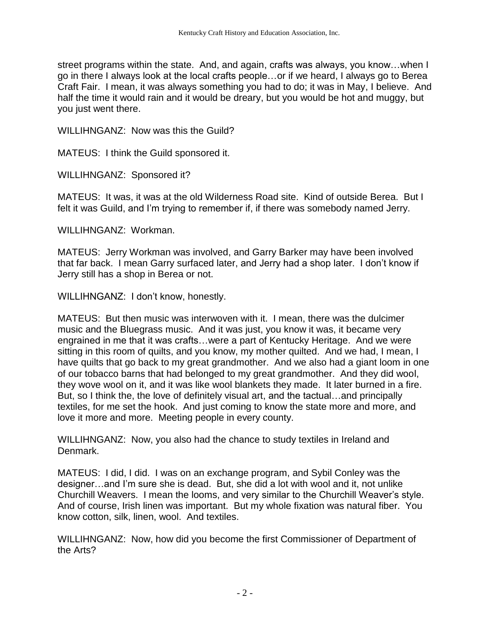street programs within the state. And, and again, crafts was always, you know…when I go in there I always look at the local crafts people…or if we heard, I always go to Berea Craft Fair. I mean, it was always something you had to do; it was in May, I believe. And half the time it would rain and it would be dreary, but you would be hot and muggy, but you just went there.

WILLIHNGANZ: Now was this the Guild?

MATEUS: I think the Guild sponsored it.

WILLIHNGANZ: Sponsored it?

MATEUS: It was, it was at the old Wilderness Road site. Kind of outside Berea. But I felt it was Guild, and I'm trying to remember if, if there was somebody named Jerry.

WILLIHNGANZ: Workman.

MATEUS: Jerry Workman was involved, and Garry Barker may have been involved that far back. I mean Garry surfaced later, and Jerry had a shop later. I don't know if Jerry still has a shop in Berea or not.

WILLIHNGANZ: I don't know, honestly.

MATEUS: But then music was interwoven with it. I mean, there was the dulcimer music and the Bluegrass music. And it was just, you know it was, it became very engrained in me that it was crafts…were a part of Kentucky Heritage. And we were sitting in this room of quilts, and you know, my mother quilted. And we had, I mean, I have quilts that go back to my great grandmother. And we also had a giant loom in one of our tobacco barns that had belonged to my great grandmother. And they did wool, they wove wool on it, and it was like wool blankets they made. It later burned in a fire. But, so I think the, the love of definitely visual art, and the tactual…and principally textiles, for me set the hook. And just coming to know the state more and more, and love it more and more. Meeting people in every county.

WILLIHNGANZ: Now, you also had the chance to study textiles in Ireland and Denmark.

MATEUS: I did, I did. I was on an exchange program, and Sybil Conley was the designer…and I'm sure she is dead. But, she did a lot with wool and it, not unlike Churchill Weavers. I mean the looms, and very similar to the Churchill Weaver's style. And of course, Irish linen was important. But my whole fixation was natural fiber. You know cotton, silk, linen, wool. And textiles.

WILLIHNGANZ: Now, how did you become the first Commissioner of Department of the Arts?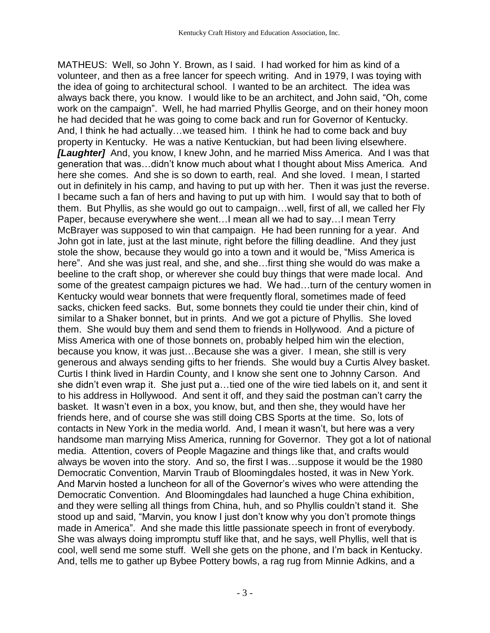MATHEUS: Well, so John Y. Brown, as I said. I had worked for him as kind of a volunteer, and then as a free lancer for speech writing. And in 1979, I was toying with the idea of going to architectural school. I wanted to be an architect. The idea was always back there, you know. I would like to be an architect, and John said, "Oh, come work on the campaign". Well, he had married Phyllis George, and on their honey moon he had decided that he was going to come back and run for Governor of Kentucky. And, I think he had actually…we teased him. I think he had to come back and buy property in Kentucky. He was a native Kentuckian, but had been living elsewhere. *[Laughter]* And, you know, I knew John, and he married Miss America. And I was that generation that was…didn't know much about what I thought about Miss America. And here she comes. And she is so down to earth, real. And she loved. I mean, I started out in definitely in his camp, and having to put up with her. Then it was just the reverse. I became such a fan of hers and having to put up with him. I would say that to both of them. But Phyllis, as she would go out to campaign…well, first of all, we called her Fly Paper, because everywhere she went…I mean all we had to say…I mean Terry McBrayer was supposed to win that campaign. He had been running for a year. And John got in late, just at the last minute, right before the filling deadline. And they just stole the show, because they would go into a town and it would be, "Miss America is here". And she was just real, and she, and she…first thing she would do was make a beeline to the craft shop, or wherever she could buy things that were made local. And some of the greatest campaign pictures we had. We had…turn of the century women in Kentucky would wear bonnets that were frequently floral, sometimes made of feed sacks, chicken feed sacks. But, some bonnets they could tie under their chin, kind of similar to a Shaker bonnet, but in prints. And we got a picture of Phyllis. She loved them. She would buy them and send them to friends in Hollywood. And a picture of Miss America with one of those bonnets on, probably helped him win the election, because you know, it was just…Because she was a giver. I mean, she still is very generous and always sending gifts to her friends. She would buy a Curtis Alvey basket. Curtis I think lived in Hardin County, and I know she sent one to Johnny Carson. And she didn't even wrap it. She just put a…tied one of the wire tied labels on it, and sent it to his address in Hollywood. And sent it off, and they said the postman can't carry the basket. It wasn't even in a box, you know, but, and then she, they would have her friends here, and of course she was still doing CBS Sports at the time. So, lots of contacts in New York in the media world. And, I mean it wasn't, but here was a very handsome man marrying Miss America, running for Governor. They got a lot of national media. Attention, covers of People Magazine and things like that, and crafts would always be woven into the story. And so, the first I was…suppose it would be the 1980 Democratic Convention, Marvin Traub of Bloomingdales hosted, it was in New York. And Marvin hosted a luncheon for all of the Governor's wives who were attending the Democratic Convention. And Bloomingdales had launched a huge China exhibition, and they were selling all things from China, huh, and so Phyllis couldn't stand it. She stood up and said, "Marvin, you know I just don't know why you don't promote things made in America". And she made this little passionate speech in front of everybody. She was always doing impromptu stuff like that, and he says, well Phyllis, well that is cool, well send me some stuff. Well she gets on the phone, and I'm back in Kentucky. And, tells me to gather up Bybee Pottery bowls, a rag rug from Minnie Adkins, and a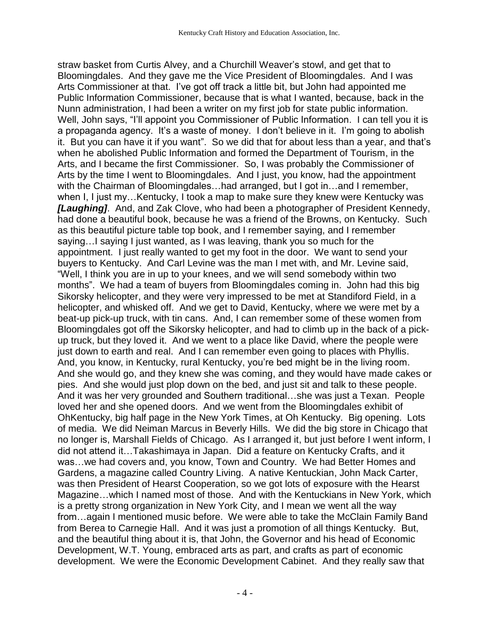straw basket from Curtis Alvey, and a Churchill Weaver's stowl, and get that to Bloomingdales. And they gave me the Vice President of Bloomingdales. And I was Arts Commissioner at that. I've got off track a little bit, but John had appointed me Public Information Commissioner, because that is what I wanted, because, back in the Nunn administration, I had been a writer on my first job for state public information. Well, John says, "I'll appoint you Commissioner of Public Information. I can tell you it is a propaganda agency. It's a waste of money. I don't believe in it. I'm going to abolish it. But you can have it if you want". So we did that for about less than a year, and that's when he abolished Public Information and formed the Department of Tourism, in the Arts, and I became the first Commissioner. So, I was probably the Commissioner of Arts by the time I went to Bloomingdales. And I just, you know, had the appointment with the Chairman of Bloomingdales…had arranged, but I got in…and I remember, when I, I just my...Kentucky, I took a map to make sure they knew were Kentucky was *[Laughing]*. And, and Zak Clove, who had been a photographer of President Kennedy, had done a beautiful book, because he was a friend of the Browns, on Kentucky. Such as this beautiful picture table top book, and I remember saying, and I remember saying…I saying I just wanted, as I was leaving, thank you so much for the appointment. I just really wanted to get my foot in the door. We want to send your buyers to Kentucky. And Carl Levine was the man I met with, and Mr. Levine said, "Well, I think you are in up to your knees, and we will send somebody within two months". We had a team of buyers from Bloomingdales coming in. John had this big Sikorsky helicopter, and they were very impressed to be met at Standiford Field, in a helicopter, and whisked off. And we get to David, Kentucky, where we were met by a beat-up pick-up truck, with tin cans. And, I can remember some of these women from Bloomingdales got off the Sikorsky helicopter, and had to climb up in the back of a pickup truck, but they loved it. And we went to a place like David, where the people were just down to earth and real. And I can remember even going to places with Phyllis. And, you know, in Kentucky, rural Kentucky, you're bed might be in the living room. And she would go, and they knew she was coming, and they would have made cakes or pies. And she would just plop down on the bed, and just sit and talk to these people. And it was her very grounded and Southern traditional…she was just a Texan. People loved her and she opened doors. And we went from the Bloomingdales exhibit of OhKentucky, big half page in the New York Times, at Oh Kentucky. Big opening. Lots of media. We did Neiman Marcus in Beverly Hills. We did the big store in Chicago that no longer is, Marshall Fields of Chicago. As I arranged it, but just before I went inform, I did not attend it…Takashimaya in Japan. Did a feature on Kentucky Crafts, and it was…we had covers and, you know, Town and Country. We had Better Homes and Gardens, a magazine called Country Living. A native Kentuckian, John Mack Carter, was then President of Hearst Cooperation, so we got lots of exposure with the Hearst Magazine…which I named most of those. And with the Kentuckians in New York, which is a pretty strong organization in New York City, and I mean we went all the way from…again I mentioned music before. We were able to take the McClain Family Band from Berea to Carnegie Hall. And it was just a promotion of all things Kentucky. But, and the beautiful thing about it is, that John, the Governor and his head of Economic Development, W.T. Young, embraced arts as part, and crafts as part of economic development. We were the Economic Development Cabinet. And they really saw that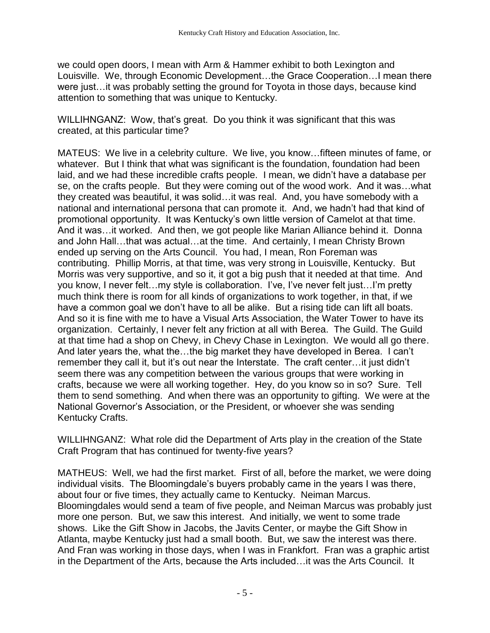we could open doors, I mean with Arm & Hammer exhibit to both Lexington and Louisville. We, through Economic Development…the Grace Cooperation…I mean there were just…it was probably setting the ground for Toyota in those days, because kind attention to something that was unique to Kentucky.

WILLIHNGANZ: Wow, that's great. Do you think it was significant that this was created, at this particular time?

MATEUS: We live in a celebrity culture. We live, you know…fifteen minutes of fame, or whatever. But I think that what was significant is the foundation, foundation had been laid, and we had these incredible crafts people. I mean, we didn't have a database per se, on the crafts people. But they were coming out of the wood work. And it was…what they created was beautiful, it was solid…it was real. And, you have somebody with a national and international persona that can promote it. And, we hadn't had that kind of promotional opportunity. It was Kentucky's own little version of Camelot at that time. And it was…it worked. And then, we got people like Marian Alliance behind it. Donna and John Hall…that was actual…at the time. And certainly, I mean Christy Brown ended up serving on the Arts Council. You had, I mean, Ron Foreman was contributing. Phillip Morris, at that time, was very strong in Louisville, Kentucky. But Morris was very supportive, and so it, it got a big push that it needed at that time. And you know, I never felt…my style is collaboration. I've, I've never felt just…I'm pretty much think there is room for all kinds of organizations to work together, in that, if we have a common goal we don't have to all be alike. But a rising tide can lift all boats. And so it is fine with me to have a Visual Arts Association, the Water Tower to have its organization. Certainly, I never felt any friction at all with Berea. The Guild. The Guild at that time had a shop on Chevy, in Chevy Chase in Lexington. We would all go there. And later years the, what the…the big market they have developed in Berea. I can't remember they call it, but it's out near the Interstate. The craft center…it just didn't seem there was any competition between the various groups that were working in crafts, because we were all working together. Hey, do you know so in so? Sure. Tell them to send something. And when there was an opportunity to gifting. We were at the National Governor's Association, or the President, or whoever she was sending Kentucky Crafts.

WILLIHNGANZ: What role did the Department of Arts play in the creation of the State Craft Program that has continued for twenty-five years?

MATHEUS: Well, we had the first market. First of all, before the market, we were doing individual visits. The Bloomingdale's buyers probably came in the years I was there, about four or five times, they actually came to Kentucky. Neiman Marcus. Bloomingdales would send a team of five people, and Neiman Marcus was probably just more one person. But, we saw this interest. And initially, we went to some trade shows. Like the Gift Show in Jacobs, the Javits Center, or maybe the Gift Show in Atlanta, maybe Kentucky just had a small booth. But, we saw the interest was there. And Fran was working in those days, when I was in Frankfort. Fran was a graphic artist in the Department of the Arts, because the Arts included…it was the Arts Council. It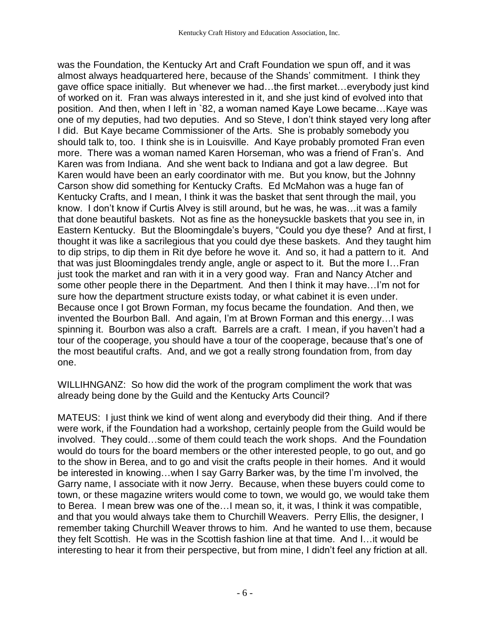was the Foundation, the Kentucky Art and Craft Foundation we spun off, and it was almost always headquartered here, because of the Shands' commitment. I think they gave office space initially. But whenever we had…the first market…everybody just kind of worked on it. Fran was always interested in it, and she just kind of evolved into that position. And then, when I left in `82, a woman named Kaye Lowe became…Kaye was one of my deputies, had two deputies. And so Steve, I don't think stayed very long after I did. But Kaye became Commissioner of the Arts. She is probably somebody you should talk to, too. I think she is in Louisville. And Kaye probably promoted Fran even more. There was a woman named Karen Horseman, who was a friend of Fran's. And Karen was from Indiana. And she went back to Indiana and got a law degree. But Karen would have been an early coordinator with me. But you know, but the Johnny Carson show did something for Kentucky Crafts. Ed McMahon was a huge fan of Kentucky Crafts, and I mean, I think it was the basket that sent through the mail, you know. I don't know if Curtis Alvey is still around, but he was, he was…it was a family that done beautiful baskets. Not as fine as the honeysuckle baskets that you see in, in Eastern Kentucky. But the Bloomingdale's buyers, "Could you dye these? And at first, I thought it was like a sacrilegious that you could dye these baskets. And they taught him to dip strips, to dip them in Rit dye before he wove it. And so, it had a pattern to it. And that was just Bloomingdales trendy angle, angle or aspect to it. But the more I…Fran just took the market and ran with it in a very good way. Fran and Nancy Atcher and some other people there in the Department. And then I think it may have…I'm not for sure how the department structure exists today, or what cabinet it is even under. Because once I got Brown Forman, my focus became the foundation. And then, we invented the Bourbon Ball. And again, I'm at Brown Forman and this energy…I was spinning it. Bourbon was also a craft. Barrels are a craft. I mean, if you haven't had a tour of the cooperage, you should have a tour of the cooperage, because that's one of the most beautiful crafts. And, and we got a really strong foundation from, from day one.

WILLIHNGANZ: So how did the work of the program compliment the work that was already being done by the Guild and the Kentucky Arts Council?

MATEUS: I just think we kind of went along and everybody did their thing. And if there were work, if the Foundation had a workshop, certainly people from the Guild would be involved. They could…some of them could teach the work shops. And the Foundation would do tours for the board members or the other interested people, to go out, and go to the show in Berea, and to go and visit the crafts people in their homes. And it would be interested in knowing…when I say Garry Barker was, by the time I'm involved, the Garry name, I associate with it now Jerry. Because, when these buyers could come to town, or these magazine writers would come to town, we would go, we would take them to Berea. I mean brew was one of the…I mean so, it, it was, I think it was compatible, and that you would always take them to Churchill Weavers. Perry Ellis, the designer, I remember taking Churchill Weaver throws to him. And he wanted to use them, because they felt Scottish. He was in the Scottish fashion line at that time. And I…it would be interesting to hear it from their perspective, but from mine, I didn't feel any friction at all.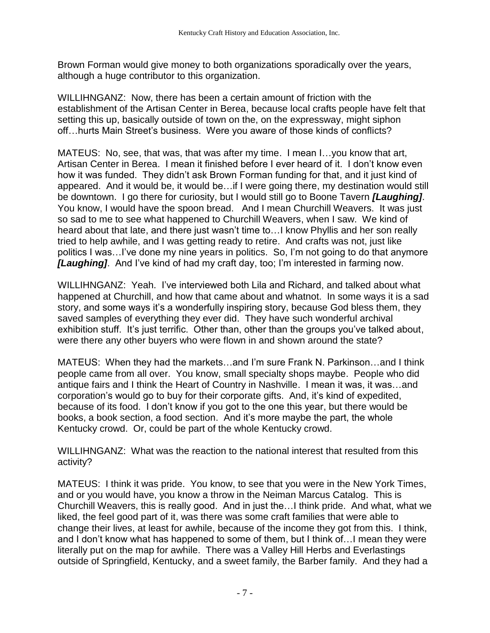Brown Forman would give money to both organizations sporadically over the years, although a huge contributor to this organization.

WILLIHNGANZ: Now, there has been a certain amount of friction with the establishment of the Artisan Center in Berea, because local crafts people have felt that setting this up, basically outside of town on the, on the expressway, might siphon off…hurts Main Street's business. Were you aware of those kinds of conflicts?

MATEUS: No, see, that was, that was after my time. I mean I…you know that art, Artisan Center in Berea. I mean it finished before I ever heard of it. I don't know even how it was funded. They didn't ask Brown Forman funding for that, and it just kind of appeared. And it would be, it would be…if I were going there, my destination would still be downtown. I go there for curiosity, but I would still go to Boone Tavern *[Laughing]*. You know, I would have the spoon bread. And I mean Churchill Weavers. It was just so sad to me to see what happened to Churchill Weavers, when I saw. We kind of heard about that late, and there just wasn't time to…I know Phyllis and her son really tried to help awhile, and I was getting ready to retire. And crafts was not, just like politics I was…I've done my nine years in politics. So, I'm not going to do that anymore *[Laughing]*. And I've kind of had my craft day, too; I'm interested in farming now.

WILLIHNGANZ: Yeah. I've interviewed both Lila and Richard, and talked about what happened at Churchill, and how that came about and whatnot. In some ways it is a sad story, and some ways it's a wonderfully inspiring story, because God bless them, they saved samples of everything they ever did. They have such wonderful archival exhibition stuff. It's just terrific. Other than, other than the groups you've talked about, were there any other buyers who were flown in and shown around the state?

MATEUS: When they had the markets…and I'm sure Frank N. Parkinson…and I think people came from all over. You know, small specialty shops maybe. People who did antique fairs and I think the Heart of Country in Nashville. I mean it was, it was…and corporation's would go to buy for their corporate gifts. And, it's kind of expedited, because of its food. I don't know if you got to the one this year, but there would be books, a book section, a food section. And it's more maybe the part, the whole Kentucky crowd. Or, could be part of the whole Kentucky crowd.

WILLIHNGANZ: What was the reaction to the national interest that resulted from this activity?

MATEUS: I think it was pride. You know, to see that you were in the New York Times, and or you would have, you know a throw in the Neiman Marcus Catalog. This is Churchill Weavers, this is really good. And in just the…I think pride. And what, what we liked, the feel good part of it, was there was some craft families that were able to change their lives, at least for awhile, because of the income they got from this. I think, and I don't know what has happened to some of them, but I think of…I mean they were literally put on the map for awhile. There was a Valley Hill Herbs and Everlastings outside of Springfield, Kentucky, and a sweet family, the Barber family. And they had a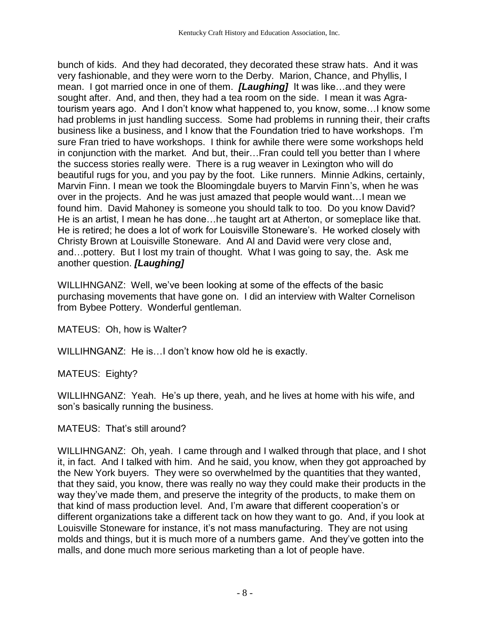bunch of kids. And they had decorated, they decorated these straw hats. And it was very fashionable, and they were worn to the Derby. Marion, Chance, and Phyllis, I mean. I got married once in one of them. *[Laughing]* It was like…and they were sought after. And, and then, they had a tea room on the side. I mean it was Agratourism years ago. And I don't know what happened to, you know, some…I know some had problems in just handling success. Some had problems in running their, their crafts business like a business, and I know that the Foundation tried to have workshops. I'm sure Fran tried to have workshops. I think for awhile there were some workshops held in conjunction with the market. And but, their…Fran could tell you better than I where the success stories really were. There is a rug weaver in Lexington who will do beautiful rugs for you, and you pay by the foot. Like runners. Minnie Adkins, certainly, Marvin Finn. I mean we took the Bloomingdale buyers to Marvin Finn's, when he was over in the projects. And he was just amazed that people would want…I mean we found him. David Mahoney is someone you should talk to too. Do you know David? He is an artist, I mean he has done…he taught art at Atherton, or someplace like that. He is retired; he does a lot of work for Louisville Stoneware's. He worked closely with Christy Brown at Louisville Stoneware. And Al and David were very close and, and…pottery. But I lost my train of thought. What I was going to say, the. Ask me another question. *[Laughing]*

WILLIHNGANZ: Well, we've been looking at some of the effects of the basic purchasing movements that have gone on. I did an interview with Walter Cornelison from Bybee Pottery. Wonderful gentleman.

MATEUS: Oh, how is Walter?

WILLIHNGANZ: He is…I don't know how old he is exactly.

MATEUS: Eighty?

WILLIHNGANZ: Yeah. He's up there, yeah, and he lives at home with his wife, and son's basically running the business.

MATEUS: That's still around?

WILLIHNGANZ: Oh, yeah. I came through and I walked through that place, and I shot it, in fact. And I talked with him. And he said, you know, when they got approached by the New York buyers. They were so overwhelmed by the quantities that they wanted, that they said, you know, there was really no way they could make their products in the way they've made them, and preserve the integrity of the products, to make them on that kind of mass production level. And, I'm aware that different cooperation's or different organizations take a different tack on how they want to go. And, if you look at Louisville Stoneware for instance, it's not mass manufacturing. They are not using molds and things, but it is much more of a numbers game. And they've gotten into the malls, and done much more serious marketing than a lot of people have.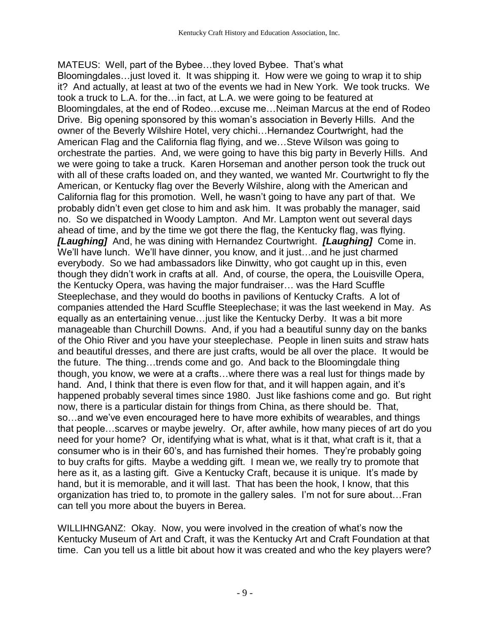MATEUS: Well, part of the Bybee…they loved Bybee. That's what Bloomingdales…just loved it. It was shipping it. How were we going to wrap it to ship it? And actually, at least at two of the events we had in New York. We took trucks. We took a truck to L.A. for the…in fact, at L.A. we were going to be featured at Bloomingdales, at the end of Rodeo…excuse me…Neiman Marcus at the end of Rodeo Drive. Big opening sponsored by this woman's association in Beverly Hills. And the owner of the Beverly Wilshire Hotel, very chichi…Hernandez Courtwright, had the American Flag and the California flag flying, and we…Steve Wilson was going to orchestrate the parties. And, we were going to have this big party in Beverly Hills. And we were going to take a truck. Karen Horseman and another person took the truck out with all of these crafts loaded on, and they wanted, we wanted Mr. Courtwright to fly the American, or Kentucky flag over the Beverly Wilshire, along with the American and California flag for this promotion. Well, he wasn't going to have any part of that. We probably didn't even get close to him and ask him. It was probably the manager, said no. So we dispatched in Woody Lampton. And Mr. Lampton went out several days ahead of time, and by the time we got there the flag, the Kentucky flag, was flying. *[Laughing]* And, he was dining with Hernandez Courtwright. *[Laughing]* Come in. We'll have lunch. We'll have dinner, you know, and it just...and he just charmed everybody. So we had ambassadors like Dinwitty, who got caught up in this, even though they didn't work in crafts at all. And, of course, the opera, the Louisville Opera, the Kentucky Opera, was having the major fundraiser… was the Hard Scuffle Steeplechase, and they would do booths in pavilions of Kentucky Crafts. A lot of companies attended the Hard Scuffle Steeplechase; it was the last weekend in May. As equally as an entertaining venue…just like the Kentucky Derby. It was a bit more manageable than Churchill Downs. And, if you had a beautiful sunny day on the banks of the Ohio River and you have your steeplechase. People in linen suits and straw hats and beautiful dresses, and there are just crafts, would be all over the place. It would be the future. The thing…trends come and go. And back to the Bloomingdale thing though, you know, we were at a crafts…where there was a real lust for things made by hand. And, I think that there is even flow for that, and it will happen again, and it's happened probably several times since 1980. Just like fashions come and go. But right now, there is a particular distain for things from China, as there should be. That, so…and we've even encouraged here to have more exhibits of wearables, and things that people…scarves or maybe jewelry. Or, after awhile, how many pieces of art do you need for your home? Or, identifying what is what, what is it that, what craft is it, that a consumer who is in their 60's, and has furnished their homes. They're probably going to buy crafts for gifts. Maybe a wedding gift. I mean we, we really try to promote that here as it, as a lasting gift. Give a Kentucky Craft, because it is unique. It's made by hand, but it is memorable, and it will last. That has been the hook, I know, that this organization has tried to, to promote in the gallery sales. I'm not for sure about…Fran can tell you more about the buyers in Berea.

WILLIHNGANZ: Okay. Now, you were involved in the creation of what's now the Kentucky Museum of Art and Craft, it was the Kentucky Art and Craft Foundation at that time. Can you tell us a little bit about how it was created and who the key players were?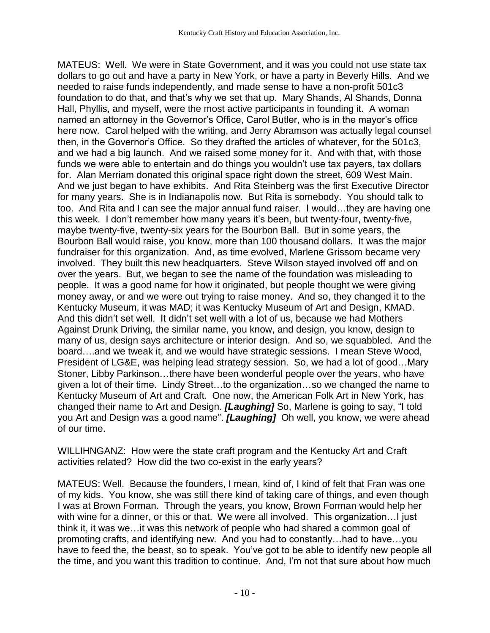MATEUS: Well. We were in State Government, and it was you could not use state tax dollars to go out and have a party in New York, or have a party in Beverly Hills. And we needed to raise funds independently, and made sense to have a non-profit 501c3 foundation to do that, and that's why we set that up. Mary Shands, Al Shands, Donna Hall, Phyllis, and myself, were the most active participants in founding it. A woman named an attorney in the Governor's Office, Carol Butler, who is in the mayor's office here now. Carol helped with the writing, and Jerry Abramson was actually legal counsel then, in the Governor's Office. So they drafted the articles of whatever, for the 501c3, and we had a big launch. And we raised some money for it. And with that, with those funds we were able to entertain and do things you wouldn't use tax payers, tax dollars for. Alan Merriam donated this original space right down the street, 609 West Main. And we just began to have exhibits. And Rita Steinberg was the first Executive Director for many years. She is in Indianapolis now. But Rita is somebody. You should talk to too. And Rita and I can see the major annual fund raiser. I would…they are having one this week. I don't remember how many years it's been, but twenty-four, twenty-five, maybe twenty-five, twenty-six years for the Bourbon Ball. But in some years, the Bourbon Ball would raise, you know, more than 100 thousand dollars. It was the major fundraiser for this organization. And, as time evolved, Marlene Grissom became very involved. They built this new headquarters. Steve Wilson stayed involved off and on over the years. But, we began to see the name of the foundation was misleading to people. It was a good name for how it originated, but people thought we were giving money away, or and we were out trying to raise money. And so, they changed it to the Kentucky Museum, it was MAD; it was Kentucky Museum of Art and Design, KMAD. And this didn't set well. It didn't set well with a lot of us, because we had Mothers Against Drunk Driving, the similar name, you know, and design, you know, design to many of us, design says architecture or interior design. And so, we squabbled. And the board….and we tweak it, and we would have strategic sessions. I mean Steve Wood, President of LG&E, was helping lead strategy session. So, we had a lot of good…Mary Stoner, Libby Parkinson…there have been wonderful people over the years, who have given a lot of their time. Lindy Street…to the organization…so we changed the name to Kentucky Museum of Art and Craft. One now, the American Folk Art in New York, has changed their name to Art and Design. *[Laughing]* So, Marlene is going to say, "I told you Art and Design was a good name". *[Laughing]* Oh well, you know, we were ahead of our time.

WILLIHNGANZ: How were the state craft program and the Kentucky Art and Craft activities related? How did the two co-exist in the early years?

MATEUS: Well. Because the founders, I mean, kind of, I kind of felt that Fran was one of my kids. You know, she was still there kind of taking care of things, and even though I was at Brown Forman. Through the years, you know, Brown Forman would help her with wine for a dinner, or this or that. We were all involved. This organization... I just think it, it was we…it was this network of people who had shared a common goal of promoting crafts, and identifying new. And you had to constantly…had to have…you have to feed the, the beast, so to speak. You've got to be able to identify new people all the time, and you want this tradition to continue. And, I'm not that sure about how much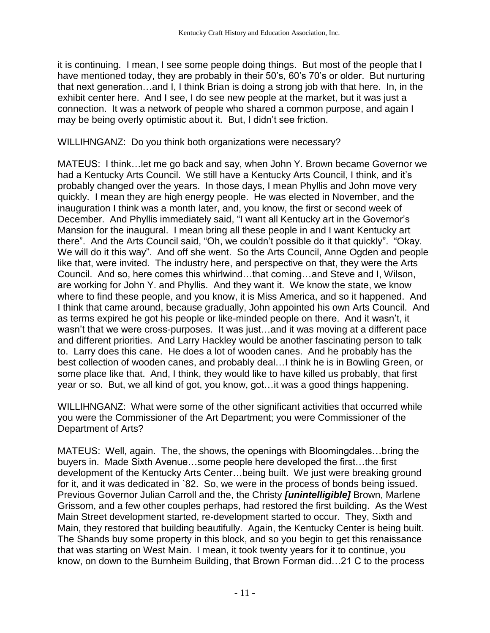it is continuing. I mean, I see some people doing things. But most of the people that I have mentioned today, they are probably in their 50's, 60's 70's or older. But nurturing that next generation…and I, I think Brian is doing a strong job with that here. In, in the exhibit center here. And I see, I do see new people at the market, but it was just a connection. It was a network of people who shared a common purpose, and again I may be being overly optimistic about it. But, I didn't see friction.

## WILLIHNGANZ: Do you think both organizations were necessary?

MATEUS: I think…let me go back and say, when John Y. Brown became Governor we had a Kentucky Arts Council. We still have a Kentucky Arts Council, I think, and it's probably changed over the years. In those days, I mean Phyllis and John move very quickly. I mean they are high energy people. He was elected in November, and the inauguration I think was a month later, and, you know, the first or second week of December. And Phyllis immediately said, "I want all Kentucky art in the Governor's Mansion for the inaugural. I mean bring all these people in and I want Kentucky art there". And the Arts Council said, "Oh, we couldn't possible do it that quickly". "Okay. We will do it this way". And off she went. So the Arts Council, Anne Ogden and people like that, were invited. The industry here, and perspective on that, they were the Arts Council. And so, here comes this whirlwind…that coming…and Steve and I, Wilson, are working for John Y. and Phyllis. And they want it. We know the state, we know where to find these people, and you know, it is Miss America, and so it happened. And I think that came around, because gradually, John appointed his own Arts Council. And as terms expired he got his people or like-minded people on there. And it wasn't, it wasn't that we were cross-purposes. It was just…and it was moving at a different pace and different priorities. And Larry Hackley would be another fascinating person to talk to. Larry does this cane. He does a lot of wooden canes. And he probably has the best collection of wooden canes, and probably deal…I think he is in Bowling Green, or some place like that. And, I think, they would like to have killed us probably, that first year or so. But, we all kind of got, you know, got…it was a good things happening.

WILLIHNGANZ: What were some of the other significant activities that occurred while you were the Commissioner of the Art Department; you were Commissioner of the Department of Arts?

MATEUS: Well, again. The, the shows, the openings with Bloomingdales…bring the buyers in. Made Sixth Avenue…some people here developed the first…the first development of the Kentucky Arts Center…being built. We just were breaking ground for it, and it was dedicated in `82. So, we were in the process of bonds being issued. Previous Governor Julian Carroll and the, the Christy *[unintelligible]* Brown, Marlene Grissom, and a few other couples perhaps, had restored the first building. As the West Main Street development started, re-development started to occur. They, Sixth and Main, they restored that building beautifully. Again, the Kentucky Center is being built. The Shands buy some property in this block, and so you begin to get this renaissance that was starting on West Main. I mean, it took twenty years for it to continue, you know, on down to the Burnheim Building, that Brown Forman did…21 C to the process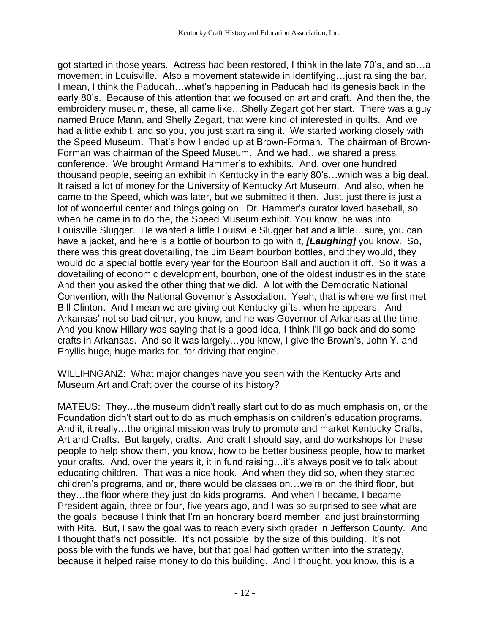got started in those years. Actress had been restored, I think in the late 70's, and so…a movement in Louisville. Also a movement statewide in identifying…just raising the bar. I mean, I think the Paducah…what's happening in Paducah had its genesis back in the early 80's. Because of this attention that we focused on art and craft. And then the, the embroidery museum, these, all came like…Shelly Zegart got her start. There was a guy named Bruce Mann, and Shelly Zegart, that were kind of interested in quilts. And we had a little exhibit, and so you, you just start raising it. We started working closely with the Speed Museum. That's how I ended up at Brown-Forman. The chairman of Brown-Forman was chairman of the Speed Museum. And we had…we shared a press conference. We brought Armand Hammer's to exhibits. And, over one hundred thousand people, seeing an exhibit in Kentucky in the early 80's…which was a big deal. It raised a lot of money for the University of Kentucky Art Museum. And also, when he came to the Speed, which was later, but we submitted it then. Just, just there is just a lot of wonderful center and things going on. Dr. Hammer's curator loved baseball, so when he came in to do the, the Speed Museum exhibit. You know, he was into Louisville Slugger. He wanted a little Louisville Slugger bat and a little…sure, you can have a jacket, and here is a bottle of bourbon to go with it, *[Laughing]* you know. So, there was this great dovetailing, the Jim Beam bourbon bottles, and they would, they would do a special bottle every year for the Bourbon Ball and auction it off. So it was a dovetailing of economic development, bourbon, one of the oldest industries in the state. And then you asked the other thing that we did. A lot with the Democratic National Convention, with the National Governor's Association. Yeah, that is where we first met Bill Clinton. And I mean we are giving out Kentucky gifts, when he appears. And Arkansas' not so bad either, you know, and he was Governor of Arkansas at the time. And you know Hillary was saying that is a good idea, I think I'll go back and do some crafts in Arkansas. And so it was largely…you know, I give the Brown's, John Y. and Phyllis huge, huge marks for, for driving that engine.

WILLIHNGANZ: What major changes have you seen with the Kentucky Arts and Museum Art and Craft over the course of its history?

MATEUS: They…the museum didn't really start out to do as much emphasis on, or the Foundation didn't start out to do as much emphasis on children's education programs. And it, it really…the original mission was truly to promote and market Kentucky Crafts, Art and Crafts. But largely, crafts. And craft I should say, and do workshops for these people to help show them, you know, how to be better business people, how to market your crafts. And, over the years it, it in fund raising…it's always positive to talk about educating children. That was a nice hook. And when they did so, when they started children's programs, and or, there would be classes on…we're on the third floor, but they…the floor where they just do kids programs. And when I became, I became President again, three or four, five years ago, and I was so surprised to see what are the goals, because I think that I'm an honorary board member, and just brainstorming with Rita. But, I saw the goal was to reach every sixth grader in Jefferson County. And I thought that's not possible. It's not possible, by the size of this building. It's not possible with the funds we have, but that goal had gotten written into the strategy, because it helped raise money to do this building. And I thought, you know, this is a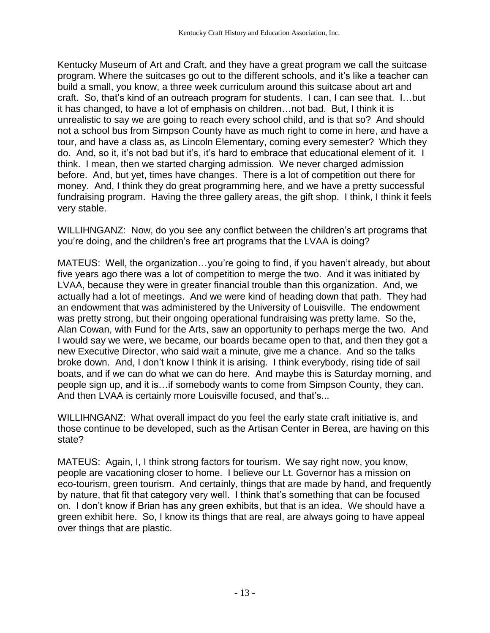Kentucky Museum of Art and Craft, and they have a great program we call the suitcase program. Where the suitcases go out to the different schools, and it's like a teacher can build a small, you know, a three week curriculum around this suitcase about art and craft. So, that's kind of an outreach program for students. I can, I can see that. I…but it has changed, to have a lot of emphasis on children…not bad. But, I think it is unrealistic to say we are going to reach every school child, and is that so? And should not a school bus from Simpson County have as much right to come in here, and have a tour, and have a class as, as Lincoln Elementary, coming every semester? Which they do. And, so it, it's not bad but it's, it's hard to embrace that educational element of it. I think. I mean, then we started charging admission. We never charged admission before. And, but yet, times have changes. There is a lot of competition out there for money. And, I think they do great programming here, and we have a pretty successful fundraising program. Having the three gallery areas, the gift shop. I think, I think it feels very stable.

WILLIHNGANZ: Now, do you see any conflict between the children's art programs that you're doing, and the children's free art programs that the LVAA is doing?

MATEUS: Well, the organization…you're going to find, if you haven't already, but about five years ago there was a lot of competition to merge the two. And it was initiated by LVAA, because they were in greater financial trouble than this organization. And, we actually had a lot of meetings. And we were kind of heading down that path. They had an endowment that was administered by the University of Louisville. The endowment was pretty strong, but their ongoing operational fundraising was pretty lame. So the, Alan Cowan, with Fund for the Arts, saw an opportunity to perhaps merge the two. And I would say we were, we became, our boards became open to that, and then they got a new Executive Director, who said wait a minute, give me a chance. And so the talks broke down. And, I don't know I think it is arising. I think everybody, rising tide of sail boats, and if we can do what we can do here. And maybe this is Saturday morning, and people sign up, and it is…if somebody wants to come from Simpson County, they can. And then LVAA is certainly more Louisville focused, and that's...

WILLIHNGANZ: What overall impact do you feel the early state craft initiative is, and those continue to be developed, such as the Artisan Center in Berea, are having on this state?

MATEUS: Again, I, I think strong factors for tourism. We say right now, you know, people are vacationing closer to home. I believe our Lt. Governor has a mission on eco-tourism, green tourism. And certainly, things that are made by hand, and frequently by nature, that fit that category very well. I think that's something that can be focused on. I don't know if Brian has any green exhibits, but that is an idea. We should have a green exhibit here. So, I know its things that are real, are always going to have appeal over things that are plastic.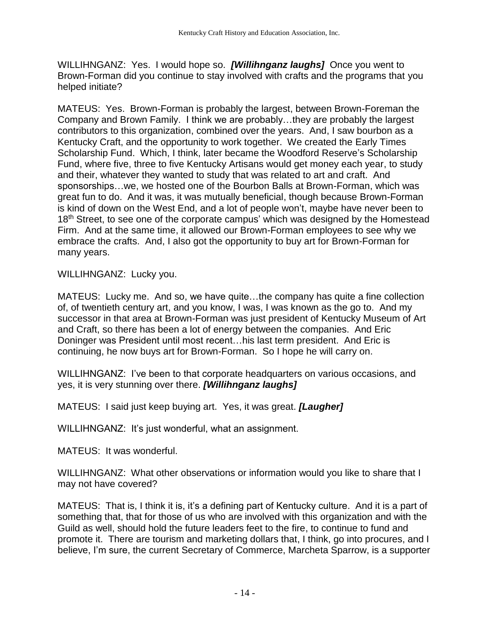WILLIHNGANZ: Yes. I would hope so. *[Willihnganz laughs]* Once you went to Brown-Forman did you continue to stay involved with crafts and the programs that you helped initiate?

MATEUS: Yes. Brown-Forman is probably the largest, between Brown-Foreman the Company and Brown Family. I think we are probably…they are probably the largest contributors to this organization, combined over the years. And, I saw bourbon as a Kentucky Craft, and the opportunity to work together. We created the Early Times Scholarship Fund. Which, I think, later became the Woodford Reserve's Scholarship Fund, where five, three to five Kentucky Artisans would get money each year, to study and their, whatever they wanted to study that was related to art and craft. And sponsorships…we, we hosted one of the Bourbon Balls at Brown-Forman, which was great fun to do. And it was, it was mutually beneficial, though because Brown-Forman is kind of down on the West End, and a lot of people won't, maybe have never been to 18<sup>th</sup> Street, to see one of the corporate campus' which was designed by the Homestead Firm. And at the same time, it allowed our Brown-Forman employees to see why we embrace the crafts. And, I also got the opportunity to buy art for Brown-Forman for many years.

WILLIHNGANZ: Lucky you.

MATEUS: Lucky me. And so, we have quite…the company has quite a fine collection of, of twentieth century art, and you know, I was, I was known as the go to. And my successor in that area at Brown-Forman was just president of Kentucky Museum of Art and Craft, so there has been a lot of energy between the companies. And Eric Doninger was President until most recent…his last term president. And Eric is continuing, he now buys art for Brown-Forman. So I hope he will carry on.

WILLIHNGANZ: I've been to that corporate headquarters on various occasions, and yes, it is very stunning over there. *[Willihnganz laughs]*

MATEUS: I said just keep buying art. Yes, it was great. *[Laugher]*

WILLIHNGANZ: It's just wonderful, what an assignment.

MATEUS: It was wonderful.

WILLIHNGANZ: What other observations or information would you like to share that I may not have covered?

MATEUS: That is, I think it is, it's a defining part of Kentucky culture. And it is a part of something that, that for those of us who are involved with this organization and with the Guild as well, should hold the future leaders feet to the fire, to continue to fund and promote it. There are tourism and marketing dollars that, I think, go into procures, and I believe, I'm sure, the current Secretary of Commerce, Marcheta Sparrow, is a supporter